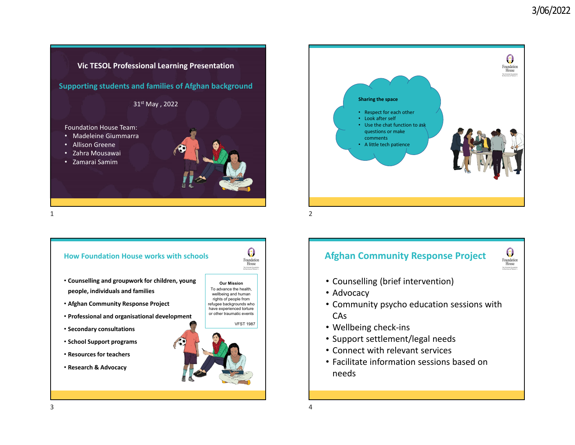





## **Afghan Community Response Project**



- Counselling (brief intervention)
- Advocacy
- Community psycho education sessions with CAs
- Wellbeing check‐ins
- Support settlement/legal needs
- Connect with relevant services
- Facilitate information sessions based on needs

3 $\frac{1}{4}$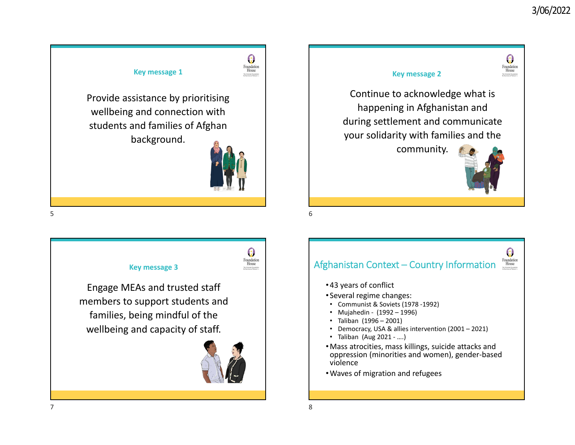0

Foundation<br>House





 $\Omega$ Foundation<br>House Afghanistan Context – Country Information • 43 years of conflict • Several regime changes: • Communist & Soviets (1978 ‐1992) • Mujahedin ‐ (1992 – 1996) • Taliban (1996 – 2001) • Democracy, USA & allies intervention (2001 – 2021) • Taliban (Aug 2021 ‐ ….) •Mass atrocities, mass killings, suicide attacks and oppression (minorities and women), gender‐based

violence•Waves of migration and refugees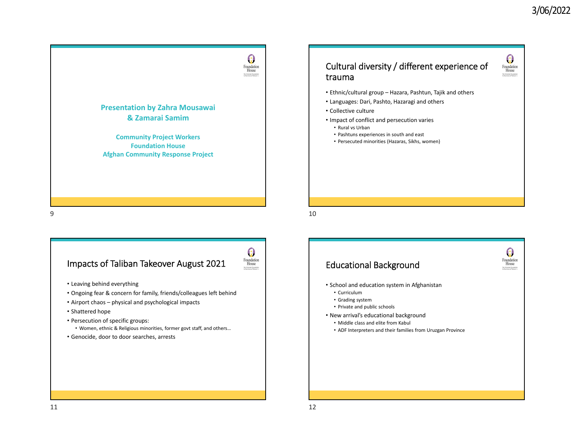$\boldsymbol{\Theta}$ 



## Impacts of Taliban Takeover August 2021



- Leaving behind everything
- Ongoing fear & concern for family, friends/colleagues left behind
- Airport chaos physical and psychological impacts
- Shattered hope
- Persecution of specific groups:
- Women, ethnic & Religious minorities, former govt staff, and others…
- Genocide, door to door searches, arrests

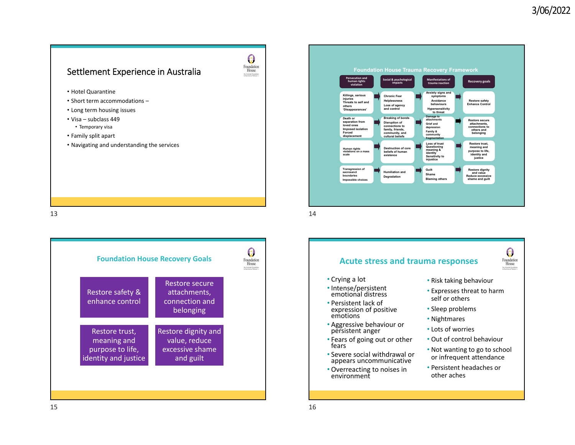## Settlement Experience in Australia



- Hotel Quarantine
- Short term accommodations –
- Long term housing issues
- Visa subclass 449
- Temporary visa
- Family split apart
- Navigating and understanding the services





 $\frac{14}{14}$ 

## **Acute stress and trauma responses**



- Crying <sup>a</sup> lot
- Intense/persistent emotionalemotional distress
- Persistent lack of expression of positive emotions
- Aggressive behaviour or persistent anger
- Fears of going out or other<br>fears
- Severe social withdrawal or appears uncommunicative
- Overreacting to noises in environment
- Risk taking behaviour
- Expresses threat to harm self or others
- Sleep problems
- Nightmares
- Lots of worries
- Out of control behaviour
- Not wanting to go to school or infrequent attendance
- Persistent headaches or other aches